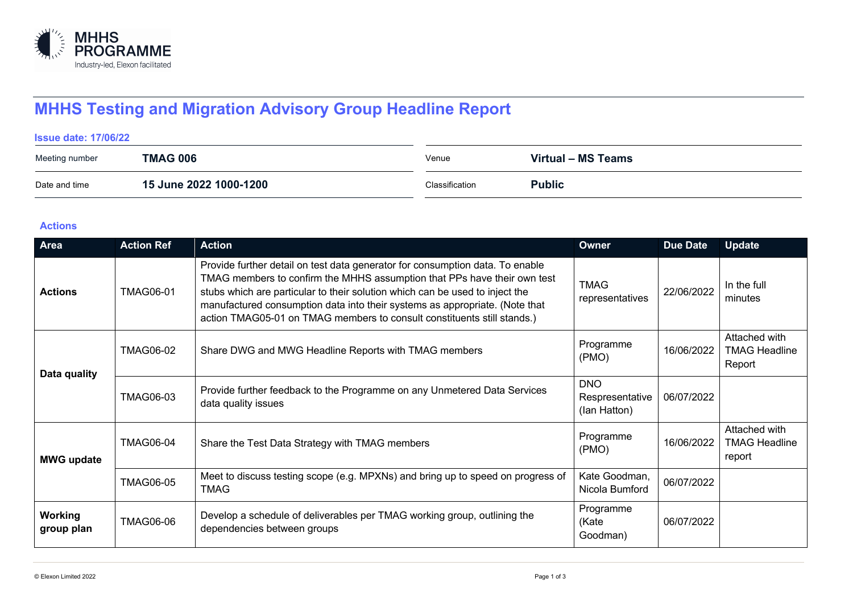

# **MHHS Testing and Migration Advisory Group Headline Report**

#### **Issue date: 17/06/22**

| Meeting number | <b>TMAG 006</b>        | Venue          | Virtual - MS Teams |
|----------------|------------------------|----------------|--------------------|
| Date and time  | 15 June 2022 1000-1200 | Classification | <b>Public</b>      |

### **Actions**

| Area                  | <b>Action Ref</b> | <b>Action</b>                                                                                                                                                                                                                                                                                                                                                                                       | Owner                                         | <b>Due Date</b> | <b>Update</b>                                   |
|-----------------------|-------------------|-----------------------------------------------------------------------------------------------------------------------------------------------------------------------------------------------------------------------------------------------------------------------------------------------------------------------------------------------------------------------------------------------------|-----------------------------------------------|-----------------|-------------------------------------------------|
| <b>Actions</b>        | <b>TMAG06-01</b>  | Provide further detail on test data generator for consumption data. To enable<br>TMAG members to confirm the MHHS assumption that PPs have their own test<br>stubs which are particular to their solution which can be used to inject the<br>manufactured consumption data into their systems as appropriate. (Note that<br>action TMAG05-01 on TMAG members to consult constituents still stands.) | <b>TMAG</b><br>representatives                | 22/06/2022      | In the full<br>minutes                          |
| Data quality          | <b>TMAG06-02</b>  | Share DWG and MWG Headline Reports with TMAG members                                                                                                                                                                                                                                                                                                                                                | Programme<br>(PMO)                            | 16/06/2022      | Attached with<br><b>TMAG Headline</b><br>Report |
|                       | <b>TMAG06-03</b>  | Provide further feedback to the Programme on any Unmetered Data Services<br>data quality issues                                                                                                                                                                                                                                                                                                     | <b>DNO</b><br>Respresentative<br>(lan Hatton) | 06/07/2022      |                                                 |
| <b>MWG update</b>     | <b>TMAG06-04</b>  | Share the Test Data Strategy with TMAG members                                                                                                                                                                                                                                                                                                                                                      | Programme<br>(PMO)                            | 16/06/2022      | Attached with<br><b>TMAG Headline</b><br>report |
|                       | <b>TMAG06-05</b>  | Meet to discuss testing scope (e.g. MPXNs) and bring up to speed on progress of<br><b>TMAG</b>                                                                                                                                                                                                                                                                                                      | Kate Goodman,<br>Nicola Bumford               | 06/07/2022      |                                                 |
| Working<br>group plan | <b>TMAG06-06</b>  | Develop a schedule of deliverables per TMAG working group, outlining the<br>dependencies between groups                                                                                                                                                                                                                                                                                             | Programme<br>(Kate<br>Goodman)                | 06/07/2022      |                                                 |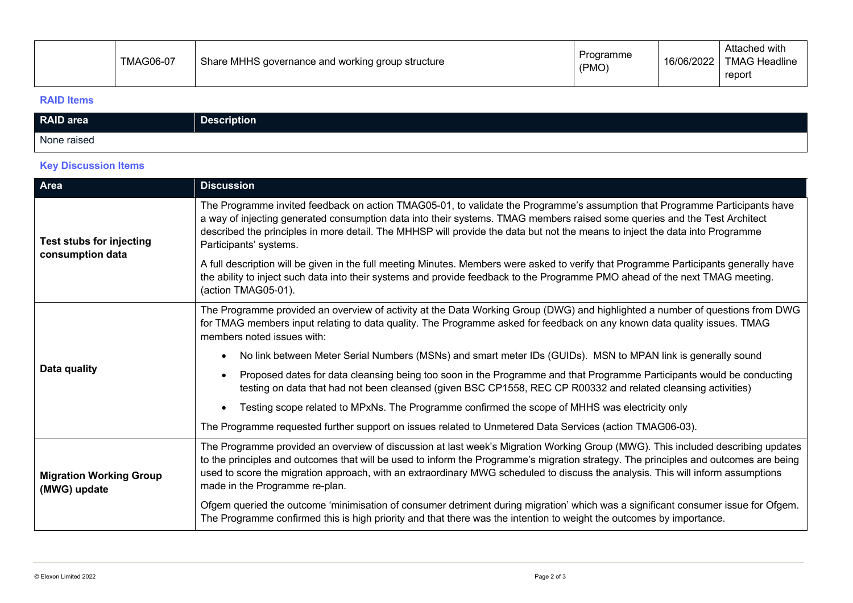|  | <b>TMAG06-07</b> | Share MHHS governance and working group structure | Programme<br>(PMO) | 16/06/2022 | Attached with<br><b>TMAG Headline</b><br>report |
|--|------------------|---------------------------------------------------|--------------------|------------|-------------------------------------------------|
|--|------------------|---------------------------------------------------|--------------------|------------|-------------------------------------------------|

#### **RAID Items**

| RAID area   | <b>Description</b> |
|-------------|--------------------|
| None raised |                    |

## **Key Discussion Items**

| Area                                           | <b>Discussion</b>                                                                                                                                                                                                                                                                                                                                                                                                                            |
|------------------------------------------------|----------------------------------------------------------------------------------------------------------------------------------------------------------------------------------------------------------------------------------------------------------------------------------------------------------------------------------------------------------------------------------------------------------------------------------------------|
| Test stubs for injecting<br>consumption data   | The Programme invited feedback on action TMAG05-01, to validate the Programme's assumption that Programme Participants have<br>a way of injecting generated consumption data into their systems. TMAG members raised some queries and the Test Architect<br>described the principles in more detail. The MHHSP will provide the data but not the means to inject the data into Programme<br>Participants' systems.                           |
|                                                | A full description will be given in the full meeting Minutes. Members were asked to verify that Programme Participants generally have<br>the ability to inject such data into their systems and provide feedback to the Programme PMO ahead of the next TMAG meeting.<br>(action TMAG05-01).                                                                                                                                                 |
|                                                | The Programme provided an overview of activity at the Data Working Group (DWG) and highlighted a number of questions from DWG<br>for TMAG members input relating to data quality. The Programme asked for feedback on any known data quality issues. TMAG<br>members noted issues with:                                                                                                                                                      |
|                                                | No link between Meter Serial Numbers (MSNs) and smart meter IDs (GUIDs). MSN to MPAN link is generally sound                                                                                                                                                                                                                                                                                                                                 |
| Data quality                                   | Proposed dates for data cleansing being too soon in the Programme and that Programme Participants would be conducting<br>testing on data that had not been cleansed (given BSC CP1558, REC CP R00332 and related cleansing activities)                                                                                                                                                                                                       |
|                                                | Testing scope related to MPxNs. The Programme confirmed the scope of MHHS was electricity only                                                                                                                                                                                                                                                                                                                                               |
|                                                | The Programme requested further support on issues related to Unmetered Data Services (action TMAG06-03).                                                                                                                                                                                                                                                                                                                                     |
| <b>Migration Working Group</b><br>(MWG) update | The Programme provided an overview of discussion at last week's Migration Working Group (MWG). This included describing updates<br>to the principles and outcomes that will be used to inform the Programme's migration strategy. The principles and outcomes are being<br>used to score the migration approach, with an extraordinary MWG scheduled to discuss the analysis. This will inform assumptions<br>made in the Programme re-plan. |
|                                                | Ofgem queried the outcome 'minimisation of consumer detriment during migration' which was a significant consumer issue for Ofgem.<br>The Programme confirmed this is high priority and that there was the intention to weight the outcomes by importance.                                                                                                                                                                                    |